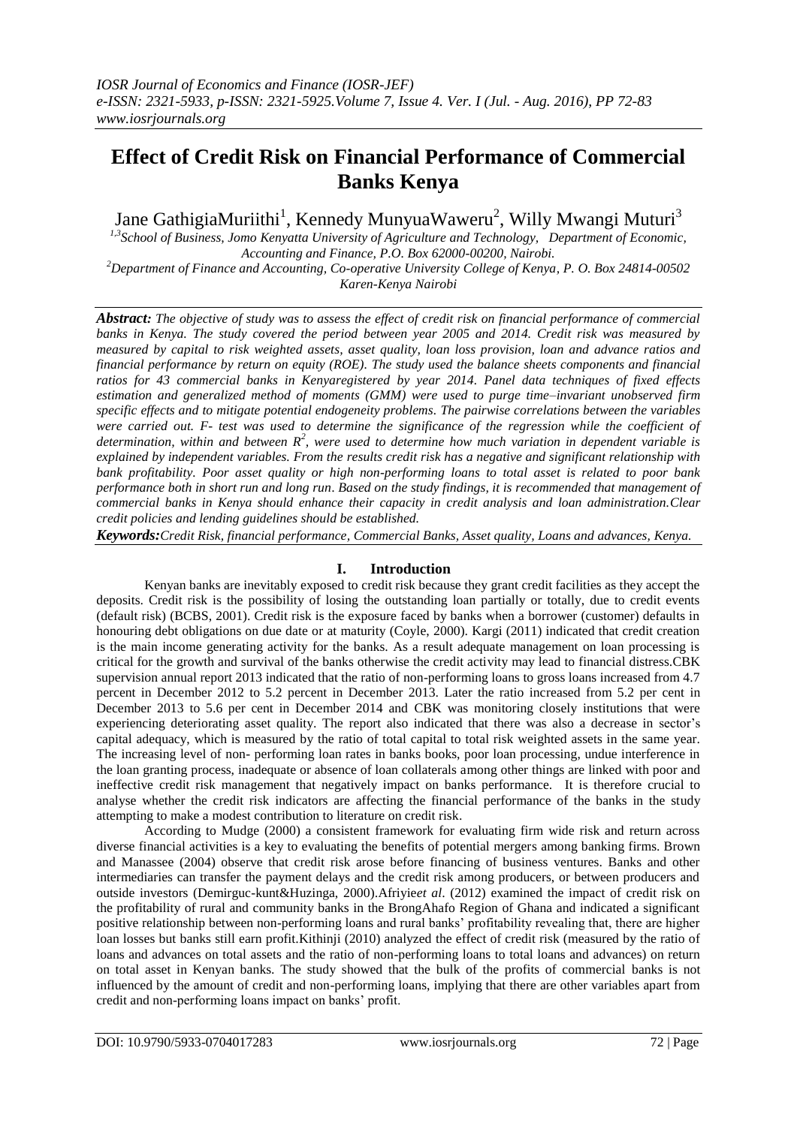# **Effect of Credit Risk on Financial Performance of Commercial Banks Kenya**

Jane GathigiaMuriithi<sup>1</sup>, Kennedy MunyuaWaweru<sup>2</sup>, Willy Mwangi Muturi<sup>3</sup>

*1,3School of Business, Jomo Kenyatta University of Agriculture and Technology, Department of Economic, Accounting and Finance, P.O. Box 62000-00200, Nairobi.*

*<sup>2</sup>Department of Finance and Accounting, Co-operative University College of Kenya, P. O. Box 24814-00502 Karen-Kenya Nairobi*

*Abstract: The objective of study was to assess the effect of credit risk on financial performance of commercial banks in Kenya. The study covered the period between year 2005 and 2014. Credit risk was measured by measured by capital to risk weighted assets, asset quality, loan loss provision, loan and advance ratios and financial performance by return on equity (ROE). The study used the balance sheets components and financial ratios for 43 commercial banks in Kenyaregistered by year 2014. Panel data techniques of fixed effects estimation and generalized method of moments (GMM) were used to purge time–invariant unobserved firm specific effects and to mitigate potential endogeneity problems. The pairwise correlations between the variables were carried out. F- test was used to determine the significance of the regression while the coefficient of*  determination, within and between  $R^2$ , were used to determine how much variation in dependent variable is *explained by independent variables. From the results credit risk has a negative and significant relationship with bank profitability. Poor asset quality or high non-performing loans to total asset is related to poor bank performance both in short run and long run*. *Based on the study findings, it is recommended that management of commercial banks in Kenya should enhance their capacity in credit analysis and loan administration.Clear credit policies and lending guidelines should be established.*

*Keywords:Credit Risk, financial performance, Commercial Banks, Asset quality, Loans and advances, Kenya.*

## **I. Introduction**

Kenyan banks are inevitably exposed to credit risk because they grant credit facilities as they accept the deposits. Credit risk is the possibility of losing the outstanding loan partially or totally, due to credit events (default risk) (BCBS, 2001). Credit risk is the exposure faced by banks when a borrower (customer) defaults in honouring debt obligations on due date or at maturity (Coyle, 2000). Kargi (2011) indicated that credit creation is the main income generating activity for the banks. As a result adequate management on loan processing is critical for the growth and survival of the banks otherwise the credit activity may lead to financial distress.CBK supervision annual report 2013 indicated that the ratio of non-performing loans to gross loans increased from 4.7 percent in December 2012 to 5.2 percent in December 2013. Later the ratio increased from 5.2 per cent in December 2013 to 5.6 per cent in December 2014 and CBK was monitoring closely institutions that were experiencing deteriorating asset quality. The report also indicated that there was also a decrease in sector's capital adequacy, which is measured by the ratio of total capital to total risk weighted assets in the same year. The increasing level of non- performing loan rates in banks books, poor loan processing, undue interference in the loan granting process, inadequate or absence of loan collaterals among other things are linked with poor and ineffective credit risk management that negatively impact on banks performance. It is therefore crucial to analyse whether the credit risk indicators are affecting the financial performance of the banks in the study attempting to make a modest contribution to literature on credit risk.

According to Mudge (2000) a consistent framework for evaluating firm wide risk and return across diverse financial activities is a key to evaluating the benefits of potential mergers among banking firms. Brown and Manassee (2004) observe that credit risk arose before financing of business ventures. Banks and other intermediaries can transfer the payment delays and the credit risk among producers, or between producers and outside investors (Demirguc-kunt&Huzinga, 2000).Afriyie*et al*. (2012) examined the impact of credit risk on the profitability of rural and community banks in the BrongAhafo Region of Ghana and indicated a significant positive relationship between non-performing loans and rural banks' profitability revealing that, there are higher loan losses but banks still earn profit.Kithinji (2010) analyzed the effect of credit risk (measured by the ratio of loans and advances on total assets and the ratio of non-performing loans to total loans and advances) on return on total asset in Kenyan banks. The study showed that the bulk of the profits of commercial banks is not influenced by the amount of credit and non-performing loans, implying that there are other variables apart from credit and non-performing loans impact on banks' profit.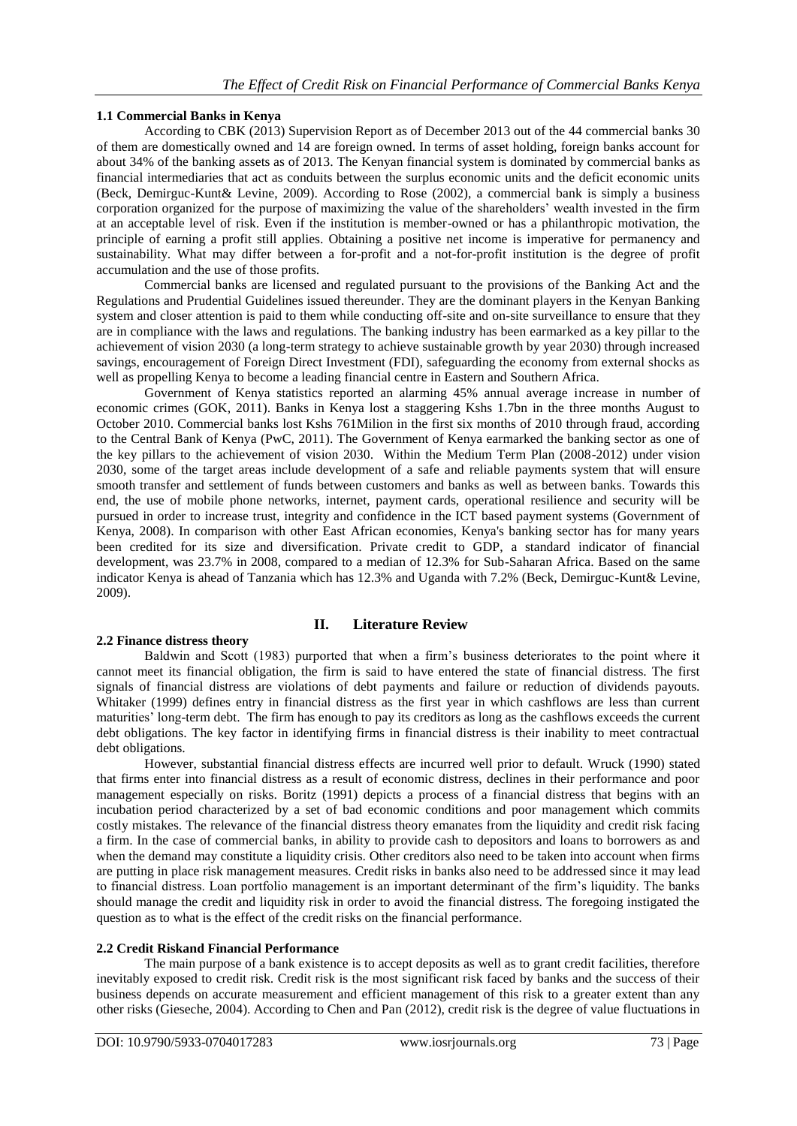## **1.1 Commercial Banks in Kenya**

According to CBK (2013) Supervision Report as of December 2013 out of the 44 commercial banks 30 of them are domestically owned and 14 are foreign owned. In terms of asset holding, foreign banks account for about 34% of the banking assets as of 2013. The Kenyan financial system is dominated by commercial banks as financial intermediaries that act as conduits between the surplus economic units and the deficit economic units (Beck, Demirguc-Kunt& Levine, 2009). According to Rose (2002), a commercial bank is simply a business corporation organized for the purpose of maximizing the value of the shareholders' wealth invested in the firm at an acceptable level of risk. Even if the institution is member-owned or has a philanthropic motivation, the principle of earning a profit still applies. Obtaining a positive net income is imperative for permanency and sustainability. What may differ between a for-profit and a not-for-profit institution is the degree of profit accumulation and the use of those profits.

Commercial banks are licensed and regulated pursuant to the provisions of the Banking Act and the Regulations and Prudential Guidelines issued thereunder. They are the dominant players in the Kenyan Banking system and closer attention is paid to them while conducting off-site and on-site surveillance to ensure that they are in compliance with the laws and regulations. The banking industry has been earmarked as a key pillar to the achievement of vision 2030 (a long-term strategy to achieve sustainable growth by year 2030) through increased savings, encouragement of Foreign Direct Investment (FDI), safeguarding the economy from external shocks as well as propelling Kenya to become a leading financial centre in Eastern and Southern Africa.

Government of Kenya statistics reported an alarming 45% annual average increase in number of economic crimes (GOK, 2011). Banks in Kenya lost a staggering Kshs 1.7bn in the three months August to October 2010. Commercial banks lost Kshs 761Milion in the first six months of 2010 through fraud, according to the Central Bank of Kenya (PwC, 2011). The Government of Kenya earmarked the banking sector as one of the key pillars to the achievement of vision 2030. Within the Medium Term Plan (2008-2012) under vision 2030, some of the target areas include development of a safe and reliable payments system that will ensure smooth transfer and settlement of funds between customers and banks as well as between banks. Towards this end, the use of mobile phone networks, internet, payment cards, operational resilience and security will be pursued in order to increase trust, integrity and confidence in the ICT based payment systems (Government of Kenya, 2008). In comparison with other East African economies, Kenya's banking sector has for many years been credited for its size and diversification. Private credit to GDP, a standard indicator of financial development, was 23.7% in 2008, compared to a median of 12.3% for Sub-Saharan Africa. Based on the same indicator Kenya is ahead of Tanzania which has 12.3% and Uganda with 7.2% (Beck, Demirguc-Kunt& Levine, 2009).

## **II. Literature Review**

## **2.2 Finance distress theory**

Baldwin and Scott (1983) purported that when a firm's business deteriorates to the point where it cannot meet its financial obligation, the firm is said to have entered the state of financial distress. The first signals of financial distress are violations of debt payments and failure or reduction of dividends payouts. Whitaker (1999) defines entry in financial distress as the first year in which cashflows are less than current maturities' long-term debt. The firm has enough to pay its creditors as long as the cashflows exceeds the current debt obligations. The key factor in identifying firms in financial distress is their inability to meet contractual debt obligations.

However, substantial financial distress effects are incurred well prior to default. Wruck (1990) stated that firms enter into financial distress as a result of economic distress, declines in their performance and poor management especially on risks. Boritz (1991) depicts a process of a financial distress that begins with an incubation period characterized by a set of bad economic conditions and poor management which commits costly mistakes. The relevance of the financial distress theory emanates from the liquidity and credit risk facing a firm. In the case of commercial banks, in ability to provide cash to depositors and loans to borrowers as and when the demand may constitute a liquidity crisis. Other creditors also need to be taken into account when firms are putting in place risk management measures. Credit risks in banks also need to be addressed since it may lead to financial distress. Loan portfolio management is an important determinant of the firm's liquidity. The banks should manage the credit and liquidity risk in order to avoid the financial distress. The foregoing instigated the question as to what is the effect of the credit risks on the financial performance.

## **2.2 Credit Riskand Financial Performance**

The main purpose of a bank existence is to accept deposits as well as to grant credit facilities, therefore inevitably exposed to credit risk. Credit risk is the most significant risk faced by banks and the success of their business depends on accurate measurement and efficient management of this risk to a greater extent than any other risks (Gieseche, 2004). According to Chen and Pan (2012), credit risk is the degree of value fluctuations in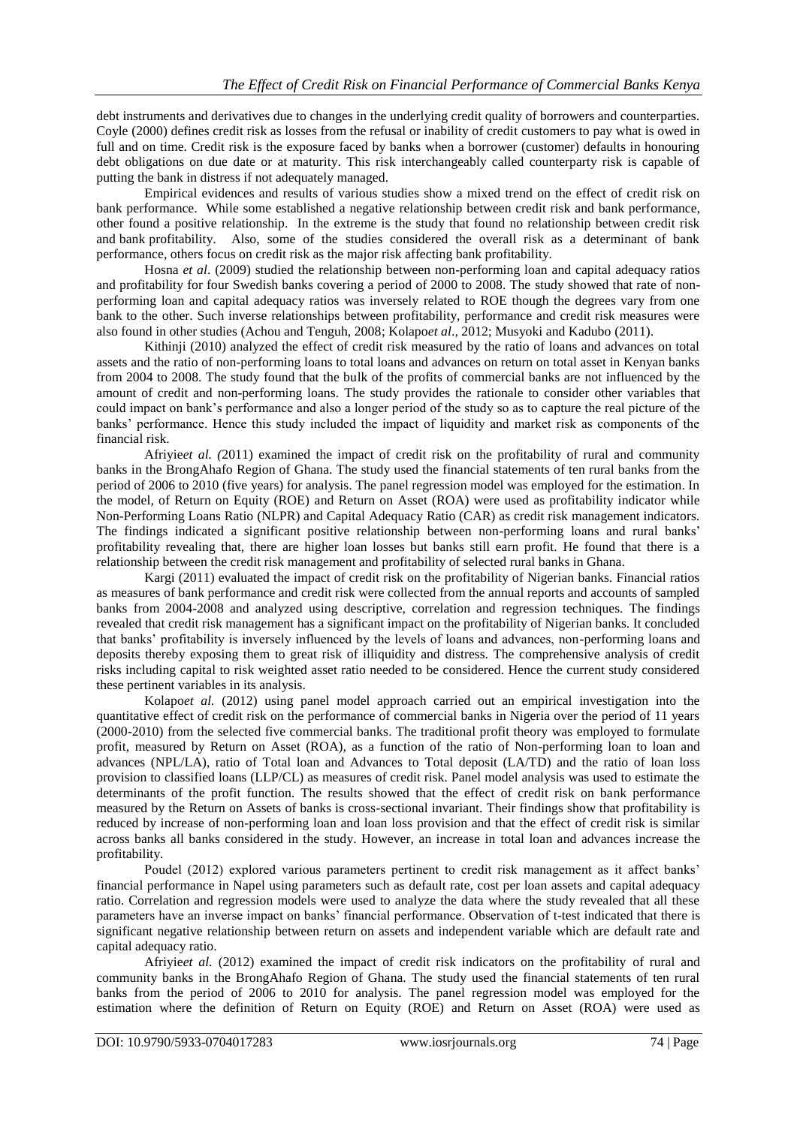debt instruments and derivatives due to changes in the underlying credit quality of borrowers and counterparties. Coyle (2000) defines credit risk as losses from the refusal or inability of credit customers to pay what is owed in full and on time. Credit risk is the exposure faced by banks when a borrower (customer) defaults in honouring debt obligations on due date or at maturity. This risk interchangeably called counterparty risk is capable of putting the bank in distress if not adequately managed.

Empirical evidences and results of various studies show a mixed trend on the effect of credit risk on bank performance. While some established a negative relationship between credit risk and bank performance, other found a positive relationship. In the extreme is the study that found no relationship between credit risk and bank profitability. Also, some of the studies considered the overall risk as a determinant of bank performance, others focus on credit risk as the major risk affecting bank profitability.

Hosna *et al*. (2009) studied the relationship between non-performing loan and capital adequacy ratios and profitability for four Swedish banks covering a period of 2000 to 2008. The study showed that rate of nonperforming loan and capital adequacy ratios was inversely related to ROE though the degrees vary from one bank to the other. Such inverse relationships between profitability, performance and credit risk measures were also found in other studies (Achou and Tenguh, 2008; Kolapo*et al*., 2012; Musyoki and Kadubo (2011).

Kithinji (2010) analyzed the effect of credit risk measured by the ratio of loans and advances on total assets and the ratio of non-performing loans to total loans and advances on return on total asset in Kenyan banks from 2004 to 2008. The study found that the bulk of the profits of commercial banks are not influenced by the amount of credit and non-performing loans. The study provides the rationale to consider other variables that could impact on bank's performance and also a longer period of the study so as to capture the real picture of the banks' performance. Hence this study included the impact of liquidity and market risk as components of the financial risk.

Afriyie*et al. (*2011) examined the impact of credit risk on the profitability of rural and community banks in the BrongAhafo Region of Ghana. The study used the financial statements of ten rural banks from the period of 2006 to 2010 (five years) for analysis. The panel regression model was employed for the estimation. In the model, of Return on Equity (ROE) and Return on Asset (ROA) were used as profitability indicator while Non-Performing Loans Ratio (NLPR) and Capital Adequacy Ratio (CAR) as credit risk management indicators. The findings indicated a significant positive relationship between non-performing loans and rural banks' profitability revealing that, there are higher loan losses but banks still earn profit. He found that there is a relationship between the credit risk management and profitability of selected rural banks in Ghana.

Kargi (2011) evaluated the impact of credit risk on the profitability of Nigerian banks. Financial ratios as measures of bank performance and credit risk were collected from the annual reports and accounts of sampled banks from 2004-2008 and analyzed using descriptive, correlation and regression techniques. The findings revealed that credit risk management has a significant impact on the profitability of Nigerian banks. It concluded that banks' profitability is inversely influenced by the levels of loans and advances, non-performing loans and deposits thereby exposing them to great risk of illiquidity and distress. The comprehensive analysis of credit risks including capital to risk weighted asset ratio needed to be considered. Hence the current study considered these pertinent variables in its analysis.

Kolapo*et al.* (2012) using panel model approach carried out an empirical investigation into the quantitative effect of credit risk on the performance of commercial banks in Nigeria over the period of 11 years (2000-2010) from the selected five commercial banks. The traditional profit theory was employed to formulate profit, measured by Return on Asset (ROA), as a function of the ratio of Non-performing loan to loan and advances (NPL/LA), ratio of Total loan and Advances to Total deposit (LA/TD) and the ratio of loan loss provision to classified loans (LLP/CL) as measures of credit risk. Panel model analysis was used to estimate the determinants of the profit function. The results showed that the effect of credit risk on bank performance measured by the Return on Assets of banks is cross-sectional invariant. Their findings show that profitability is reduced by increase of non-performing loan and loan loss provision and that the effect of credit risk is similar across banks all banks considered in the study. However, an increase in total loan and advances increase the profitability.

Poudel (2012) explored various parameters pertinent to credit risk management as it affect banks' financial performance in Napel using parameters such as default rate, cost per loan assets and capital adequacy ratio. Correlation and regression models were used to analyze the data where the study revealed that all these parameters have an inverse impact on banks' financial performance. Observation of t-test indicated that there is significant negative relationship between return on assets and independent variable which are default rate and capital adequacy ratio.

Afriyie*et al.* (2012) examined the impact of credit risk indicators on the profitability of rural and community banks in the BrongAhafo Region of Ghana. The study used the financial statements of ten rural banks from the period of 2006 to 2010 for analysis. The panel regression model was employed for the estimation where the definition of Return on Equity (ROE) and Return on Asset (ROA) were used as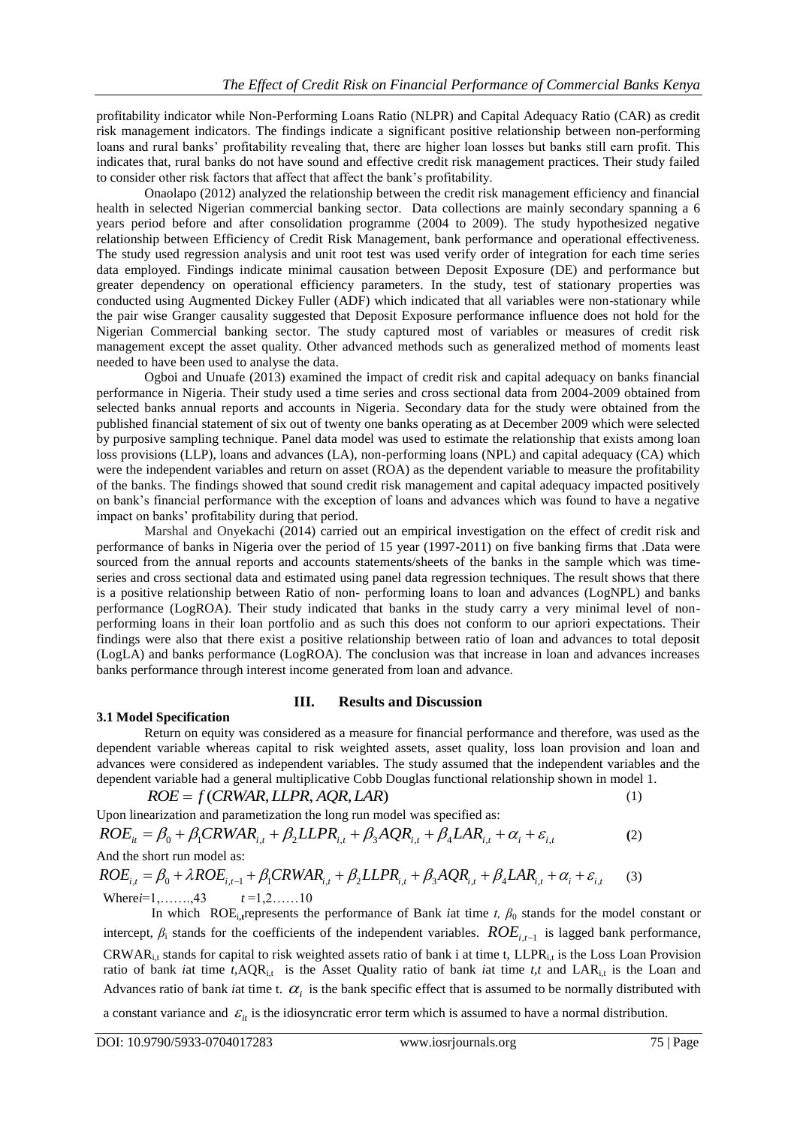profitability indicator while Non-Performing Loans Ratio (NLPR) and Capital Adequacy Ratio (CAR) as credit risk management indicators. The findings indicate a significant positive relationship between non-performing loans and rural banks' profitability revealing that, there are higher loan losses but banks still earn profit. This indicates that, rural banks do not have sound and effective credit risk management practices. Their study failed to consider other risk factors that affect that affect the bank's profitability.

Onaolapo (2012) analyzed the relationship between the credit risk management efficiency and financial health in selected Nigerian commercial banking sector. Data collections are mainly secondary spanning a 6 years period before and after consolidation programme (2004 to 2009). The study hypothesized negative relationship between Efficiency of Credit Risk Management, bank performance and operational effectiveness. The study used regression analysis and unit root test was used verify order of integration for each time series data employed. Findings indicate minimal causation between Deposit Exposure (DE) and performance but greater dependency on operational efficiency parameters. In the study, test of stationary properties was conducted using Augmented Dickey Fuller (ADF) which indicated that all variables were non-stationary while the pair wise Granger causality suggested that Deposit Exposure performance influence does not hold for the Nigerian Commercial banking sector. The study captured most of variables or measures of credit risk management except the asset quality. Other advanced methods such as generalized method of moments least needed to have been used to analyse the data.

Ogboi and Unuafe (2013) examined the impact of credit risk and capital adequacy on banks financial performance in Nigeria. Their study used a time series and cross sectional data from 2004-2009 obtained from selected banks annual reports and accounts in Nigeria. Secondary data for the study were obtained from the published financial statement of six out of twenty one banks operating as at December 2009 which were selected by purposive sampling technique. Panel data model was used to estimate the relationship that exists among loan loss provisions (LLP), loans and advances (LA), non-performing loans (NPL) and capital adequacy (CA) which were the independent variables and return on asset (ROA) as the dependent variable to measure the profitability of the banks. The findings showed that sound credit risk management and capital adequacy impacted positively on bank's financial performance with the exception of loans and advances which was found to have a negative impact on banks' profitability during that period.

Marshal and Onyekachi (2014) carried out an empirical investigation on the effect of credit risk and performance of banks in Nigeria over the period of 15 year (1997-2011) on five banking firms that .Data were sourced from the annual reports and accounts statements/sheets of the banks in the sample which was timeseries and cross sectional data and estimated using panel data regression techniques. The result shows that there is a positive relationship between Ratio of non- performing loans to loan and advances (LogNPL) and banks performance (LogROA). Their study indicated that banks in the study carry a very minimal level of nonperforming loans in their loan portfolio and as such this does not conform to our apriori expectations. Their findings were also that there exist a positive relationship between ratio of loan and advances to total deposit (LogLA) and banks performance (LogROA). The conclusion was that increase in loan and advances increases banks performance through interest income generated from loan and advance.

## **3.1 Model Specification**

#### **III. Results and Discussion**

Return on equity was considered as a measure for financial performance and therefore, was used as the dependent variable whereas capital to risk weighted assets, asset quality, loss loan provision and loan and advances were considered as independent variables. The study assumed that the independent variables and the dependent variable had a general multiplicative Cobb Douglas functional relationship shown in model 1.<br>  $ROE = f (CRWAR, LLPR, AQR, LRR)$  (1)

$$
ROE = f(CRWAR, LLPR, AQR, LAR)
$$

Upon linearization and parametization the long run model was specified as: dependent variable had a general multiplicative Cobb Douglas functional relationship shown in r<br> *ROE* = *f* (*CRWAR, LLPR, AQR, LAR*)<br>
Jpon linearization and parametization the long run model was specified as:<br> *ROE*<sub>it</sub> **(**2) *Comercity Let us a* parametization the long run model was specified as:<br>  $ROE_{it} = \beta_0 + \beta_1 CRWAR_{i,t} + \beta_2 LLPR_{i,t} + \beta_3 AQR_{i,t} + \beta_4 LAR_{i,t} + \alpha_i + \varepsilon_{i,t}$  (2)<br>
And the short run model as:<br>  $ROE_{i,t} = \beta_0 + \lambda ROE_{i,t-1} + \beta_1 CRWAR_{i,t} + \beta_2$ 

And the short run model as:

$$
ROE_{i,t} = \beta_0 + \lambda ROE_{i,t-1} + \beta_1 CRWAR_{i,t} + \beta_2 LLPR_{i,t} + \beta_3 AQR_{i,t} + \beta_4 LAR_{i,t} + \alpha_i + \varepsilon_{i,t}
$$
 (3)  
Wherei=1,......,43  $t=1,2......10$ 

In which ROE<sub>i</sub>, tep resents the performance of Bank *i*at time *t*,  $\beta_0$  stands for the model constant or intercept,  $\beta_i$  stands for the coefficients of the independent variables.  $ROE_{i,t-1}$  is lagged bank performance, CRWARi,t stands for capital to risk weighted assets ratio of bank i at time t, LLPRi,t is the Loss Loan Provision ratio of bank *i*at time *t*,AQR<sub>i,t</sub> is the Asset Quality ratio of bank *i*at time *t*,*t* and LAR<sub>i,t</sub> is the Loan and Advances ratio of bank *i*at time t.  $\alpha_i$  is the bank specific effect that is assumed to be normally distributed with a constant variance and  $\mathcal{E}_{it}$  is the idiosyncratic error term which is assumed to have a normal distribution.

(1)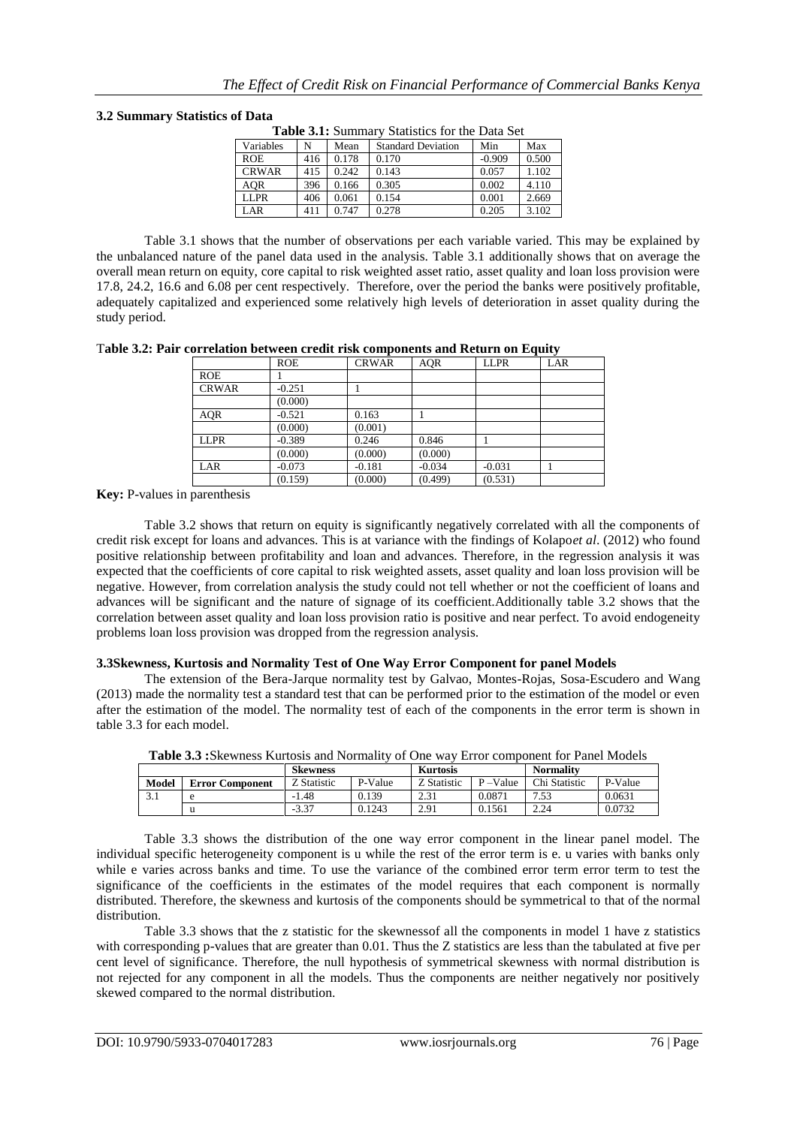#### **3.2 Summary Statistics of Data**

| <b>Table 3.1:</b> Summary Statistics for the Data Set |     |       |                           |          |       |  |  |
|-------------------------------------------------------|-----|-------|---------------------------|----------|-------|--|--|
| Variables                                             | N   | Mean  | <b>Standard Deviation</b> | Min      | Max   |  |  |
| <b>ROE</b>                                            | 416 | 0.178 | 0.170                     | $-0.909$ | 0.500 |  |  |
| <b>CRWAR</b>                                          | 415 | 0.242 | 0.143                     | 0.057    | 1.102 |  |  |
| <b>AOR</b>                                            | 396 | 0.166 | 0.305                     | 0.002    | 4.110 |  |  |
| <b>LLPR</b>                                           | 406 | 0.061 | 0.154                     | 0.001    | 2.669 |  |  |
| LAR.                                                  | 411 | 0.747 | 0.278                     | 0.205    | 3.102 |  |  |
|                                                       |     |       |                           |          |       |  |  |

Table 3.1 shows that the number of observations per each variable varied. This may be explained by the unbalanced nature of the panel data used in the analysis. Table 3.1 additionally shows that on average the overall mean return on equity, core capital to risk weighted asset ratio, asset quality and loan loss provision were 17.8, 24.2, 16.6 and 6.08 per cent respectively. Therefore, over the period the banks were positively profitable, adequately capitalized and experienced some relatively high levels of deterioration in asset quality during the study period.

T**able 3.2: Pair correlation between credit risk components and Return on Equity**

|              | <b>ROE</b> | <b>CRWAR</b> | <b>AQR</b> | <b>LLPR</b> | LAR |
|--------------|------------|--------------|------------|-------------|-----|
| <b>ROE</b>   |            |              |            |             |     |
| <b>CRWAR</b> | $-0.251$   |              |            |             |     |
|              | (0.000)    |              |            |             |     |
| AQR          | $-0.521$   | 0.163        |            |             |     |
|              | (0.000)    | (0.001)      |            |             |     |
| <b>LLPR</b>  | $-0.389$   | 0.246        | 0.846      |             |     |
|              | (0.000)    | (0.000)      | (0.000)    |             |     |
| LAR          | $-0.073$   | $-0.181$     | $-0.034$   | $-0.031$    |     |
|              | (0.159)    | (0.000)      | (0.499)    | (0.531)     |     |

**Key:** P-values in parenthesis

Table 3.2 shows that return on equity is significantly negatively correlated with all the components of credit risk except for loans and advances. This is at variance with the findings of Kolapo*et al*. (2012) who found positive relationship between profitability and loan and advances. Therefore, in the regression analysis it was expected that the coefficients of core capital to risk weighted assets, asset quality and loan loss provision will be negative. However, from correlation analysis the study could not tell whether or not the coefficient of loans and advances will be significant and the nature of signage of its coefficient.Additionally table 3.2 shows that the correlation between asset quality and loan loss provision ratio is positive and near perfect. To avoid endogeneity problems loan loss provision was dropped from the regression analysis.

#### **3.3Skewness, Kurtosis and Normality Test of One Way Error Component for panel Models**

The extension of the Bera-Jarque normality test by Galvao, Montes-Rojas, Sosa-Escudero and Wang (2013) made the normality test a standard test that can be performed prior to the estimation of the model or even after the estimation of the model. The normality test of each of the components in the error term is shown in table 3.3 for each model.

| <b>Skewness</b> |                        | <b>Kurtosis</b> |         | <b>Normality</b> |             |                  |         |
|-----------------|------------------------|-----------------|---------|------------------|-------------|------------------|---------|
| Model           | <b>Error Component</b> | Z Statistic     | P-Value | Z Statistic      | $P - Value$ | Chi Statistic    | P-Value |
|                 |                        | $-1.48$         | 0.139   | 2.31             | 0.0871      | ⇁<br>52<br>ر ر., | 0.0631  |
|                 |                        | $-3.37$         | 0.1243  | 2.91             | 0.1561      | 2.24             | 0.0732  |

**Table 3.3 :**Skewness Kurtosis and Normality of One way Error component for Panel Models

Table 3.3 shows the distribution of the one way error component in the linear panel model. The individual specific heterogeneity component is u while the rest of the error term is e. u varies with banks only while e varies across banks and time. To use the variance of the combined error term error term to test the significance of the coefficients in the estimates of the model requires that each component is normally distributed. Therefore, the skewness and kurtosis of the components should be symmetrical to that of the normal distribution.

Table 3.3 shows that the z statistic for the skewnessof all the components in model 1 have z statistics with corresponding p-values that are greater than 0.01. Thus the Z statistics are less than the tabulated at five per cent level of significance. Therefore, the null hypothesis of symmetrical skewness with normal distribution is not rejected for any component in all the models. Thus the components are neither negatively nor positively skewed compared to the normal distribution.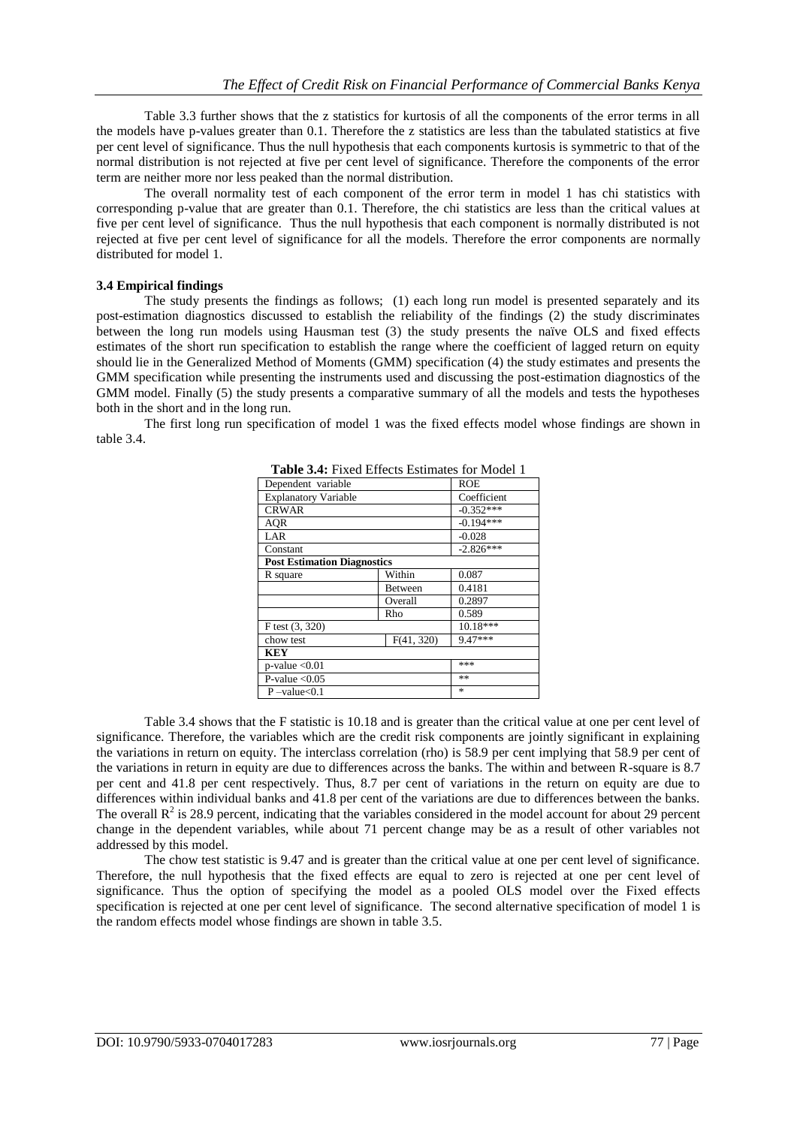Table 3.3 further shows that the z statistics for kurtosis of all the components of the error terms in all the models have p-values greater than 0.1. Therefore the z statistics are less than the tabulated statistics at five per cent level of significance. Thus the null hypothesis that each components kurtosis is symmetric to that of the normal distribution is not rejected at five per cent level of significance. Therefore the components of the error term are neither more nor less peaked than the normal distribution.

The overall normality test of each component of the error term in model 1 has chi statistics with corresponding p-value that are greater than 0.1. Therefore, the chi statistics are less than the critical values at five per cent level of significance. Thus the null hypothesis that each component is normally distributed is not rejected at five per cent level of significance for all the models. Therefore the error components are normally distributed for model 1.

### **3.4 Empirical findings**

The study presents the findings as follows; (1) each long run model is presented separately and its post-estimation diagnostics discussed to establish the reliability of the findings (2) the study discriminates between the long run models using Hausman test (3) the study presents the naïve OLS and fixed effects estimates of the short run specification to establish the range where the coefficient of lagged return on equity should lie in the Generalized Method of Moments (GMM) specification (4) the study estimates and presents the GMM specification while presenting the instruments used and discussing the post-estimation diagnostics of the GMM model. Finally (5) the study presents a comparative summary of all the models and tests the hypotheses both in the short and in the long run.

The first long run specification of model 1 was the fixed effects model whose findings are shown in table 3.4.

| Dependent variable                 | <b>ROE</b>     |             |
|------------------------------------|----------------|-------------|
| <b>Explanatory Variable</b>        |                | Coefficient |
| <b>CRWAR</b>                       |                | $-0.352***$ |
| <b>AQR</b>                         |                | $-0.194***$ |
| LAR                                |                | $-0.028$    |
| Constant                           |                | $-2.826***$ |
| <b>Post Estimation Diagnostics</b> |                |             |
| R square                           | Within         | 0.087       |
|                                    | <b>Between</b> | 0.4181      |
|                                    | Overall        | 0.2897      |
|                                    | Rho            | 0.589       |
| F test (3, 320)                    |                | $10.18***$  |
| chow test                          | F(41, 320)     | 9.47***     |
| <b>KEY</b>                         |                |             |
| $p$ -value < 0.01                  | ***            |             |
| P-value $< 0.05$                   | **             |             |
| $P$ -value $< 0.1$                 |                | *           |

**Table 3.4:** Fixed Effects Estimates for Model 1

Table 3.4 shows that the F statistic is 10.18 and is greater than the critical value at one per cent level of significance. Therefore, the variables which are the credit risk components are jointly significant in explaining the variations in return on equity. The interclass correlation (rho) is 58.9 per cent implying that 58.9 per cent of the variations in return in equity are due to differences across the banks. The within and between R-square is 8.7 per cent and 41.8 per cent respectively. Thus, 8.7 per cent of variations in the return on equity are due to differences within individual banks and 41.8 per cent of the variations are due to differences between the banks. The overall  $R^2$  is 28.9 percent, indicating that the variables considered in the model account for about 29 percent change in the dependent variables, while about 71 percent change may be as a result of other variables not addressed by this model.

The chow test statistic is 9.47 and is greater than the critical value at one per cent level of significance. Therefore, the null hypothesis that the fixed effects are equal to zero is rejected at one per cent level of significance. Thus the option of specifying the model as a pooled OLS model over the Fixed effects specification is rejected at one per cent level of significance. The second alternative specification of model 1 is the random effects model whose findings are shown in table 3.5.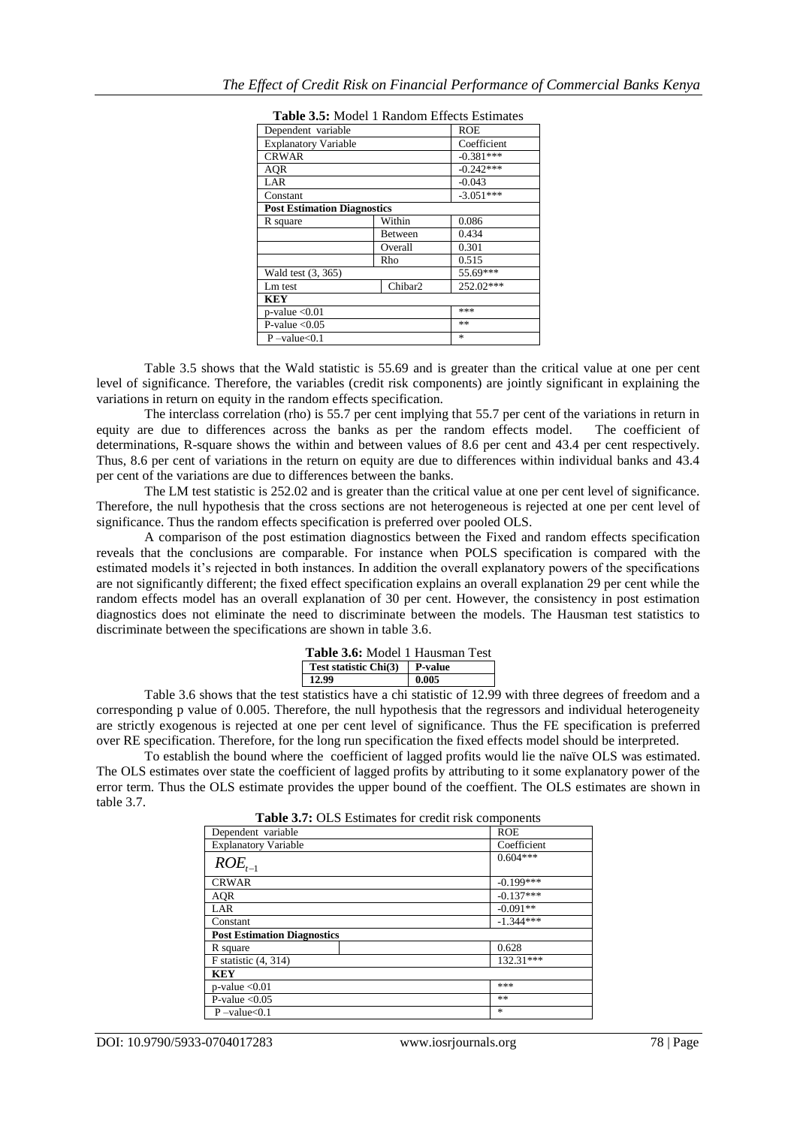| <b>Table 3.3.</b> MOUTE I Kanuoni Effects Estimates |            |             |  |  |  |  |
|-----------------------------------------------------|------------|-------------|--|--|--|--|
| Dependent variable                                  | <b>ROE</b> |             |  |  |  |  |
| <b>Explanatory Variable</b>                         |            |             |  |  |  |  |
| <b>CRWAR</b>                                        |            | $-0.381***$ |  |  |  |  |
| AOR                                                 |            | $-0.242***$ |  |  |  |  |
| LAR                                                 |            | $-0.043$    |  |  |  |  |
| Constant                                            |            | $-3.051***$ |  |  |  |  |
| <b>Post Estimation Diagnostics</b>                  |            |             |  |  |  |  |
| R square                                            | Within     | 0.086       |  |  |  |  |
|                                                     | Between    | 0.434       |  |  |  |  |
|                                                     | Overall    | 0.301       |  |  |  |  |
|                                                     | Rho        | 0.515       |  |  |  |  |
| Wald test (3, 365)                                  |            | 55.69***    |  |  |  |  |
| Lm test                                             | Chibar2    | 252.02***   |  |  |  |  |
| KEY                                                 |            |             |  |  |  |  |
| $p$ -value $< 0.01$                                 | ***        |             |  |  |  |  |
| P-value $< 0.05$                                    | **         |             |  |  |  |  |
| $P$ -value $< 0.1$                                  |            | 冰           |  |  |  |  |

| <b>Table 3.5:</b> Model 1 Random Effects Estimates |  |  |
|----------------------------------------------------|--|--|
|----------------------------------------------------|--|--|

Table 3.5 shows that the Wald statistic is 55.69 and is greater than the critical value at one per cent level of significance. Therefore, the variables (credit risk components) are jointly significant in explaining the variations in return on equity in the random effects specification.

The interclass correlation (rho) is 55.7 per cent implying that 55.7 per cent of the variations in return in equity are due to differences across the banks as per the random effects model. The coefficient of determinations, R-square shows the within and between values of 8.6 per cent and 43.4 per cent respectively. Thus, 8.6 per cent of variations in the return on equity are due to differences within individual banks and 43.4 per cent of the variations are due to differences between the banks.

The LM test statistic is 252.02 and is greater than the critical value at one per cent level of significance. Therefore, the null hypothesis that the cross sections are not heterogeneous is rejected at one per cent level of significance. Thus the random effects specification is preferred over pooled OLS.

A comparison of the post estimation diagnostics between the Fixed and random effects specification reveals that the conclusions are comparable. For instance when POLS specification is compared with the estimated models it's rejected in both instances. In addition the overall explanatory powers of the specifications are not significantly different; the fixed effect specification explains an overall explanation 29 per cent while the random effects model has an overall explanation of 30 per cent. However, the consistency in post estimation diagnostics does not eliminate the need to discriminate between the models. The Hausman test statistics to discriminate between the specifications are shown in table 3.6.

| <b>Table 3.6:</b> Model 1 Hausman Test |       |  |  |  |
|----------------------------------------|-------|--|--|--|
| Test statistic Chi(3) P-value          |       |  |  |  |
| 12.99                                  | 0.005 |  |  |  |

Table 3.6 shows that the test statistics have a chi statistic of 12.99 with three degrees of freedom and a corresponding p value of 0.005. Therefore, the null hypothesis that the regressors and individual heterogeneity are strictly exogenous is rejected at one per cent level of significance. Thus the FE specification is preferred over RE specification. Therefore, for the long run specification the fixed effects model should be interpreted.

To establish the bound where the coefficient of lagged profits would lie the naïve OLS was estimated. The OLS estimates over state the coefficient of lagged profits by attributing to it some explanatory power of the error term. Thus the OLS estimate provides the upper bound of the coeffient. The OLS estimates are shown in table 3.7.

| Dependent variable                 | <b>ROE</b>  |
|------------------------------------|-------------|
| <b>Explanatory Variable</b>        | Coefficient |
| $ROE_{t-1}$                        | $0.604***$  |
| <b>CRWAR</b>                       | $-0.199***$ |
| <b>AQR</b>                         | $-0.137***$ |
| LAR                                | $-0.091**$  |
| Constant                           | $-1.344***$ |
| <b>Post Estimation Diagnostics</b> |             |
| R square                           | 0.628       |
| $F$ statistic $(4, 314)$           | 132.31***   |
| <b>KEY</b>                         |             |
| $p$ -value < 0.01                  | ***         |
| P-value $< 0.05$                   | **          |
| $P$ -value<0.1                     | *           |
|                                    |             |

**Table 3.7:** OLS Estimates for credit risk components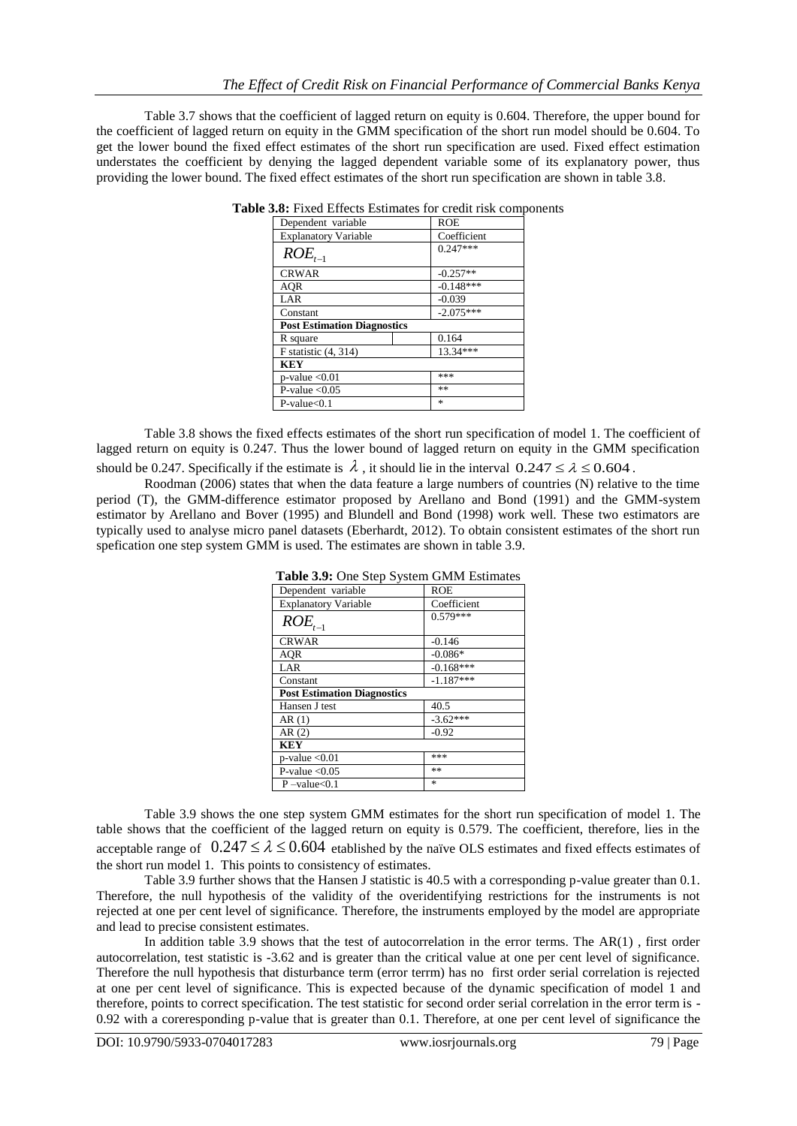Table 3.7 shows that the coefficient of lagged return on equity is 0.604. Therefore, the upper bound for the coefficient of lagged return on equity in the GMM specification of the short run model should be 0.604. To get the lower bound the fixed effect estimates of the short run specification are used. Fixed effect estimation understates the coefficient by denying the lagged dependent variable some of its explanatory power, thus providing the lower bound. The fixed effect estimates of the short run specification are shown in table 3.8.

| Dependent variable                 | <b>ROE</b>  |
|------------------------------------|-------------|
| <b>Explanatory Variable</b>        | Coefficient |
| $ROE_{t-1}$                        | $0.247***$  |
| <b>CRWAR</b>                       | $-0.257**$  |
| AOR                                | $-0.148***$ |
| LAR                                | $-0.039$    |
| Constant                           | $-2.075***$ |
| <b>Post Estimation Diagnostics</b> |             |
| R square                           | 0.164       |
| $F$ statistic $(4, 314)$           | $13.34***$  |
| <b>KEY</b>                         |             |
| $p$ -value $< 0.01$                | ***         |
| P-value $< 0.05$                   | **          |
| $P-value<0.1$                      | $\ast$      |

|  |  |  |  |  |  |  | <b>Table 3.8:</b> Fixed Effects Estimates for credit risk components |
|--|--|--|--|--|--|--|----------------------------------------------------------------------|
|--|--|--|--|--|--|--|----------------------------------------------------------------------|

Table 3.8 shows the fixed effects estimates of the short run specification of model 1. The coefficient of lagged return on equity is 0.247. Thus the lower bound of lagged return on equity in the GMM specification should be 0.247. Specifically if the estimate is  $\lambda$ , it should lie in the interval  $0.247 \le \lambda \le 0.604$ .

Roodman (2006) states that when the data feature a large numbers of countries (N) relative to the time period (T), the GMM-difference estimator proposed by Arellano and Bond (1991) and the GMM-system estimator by Arellano and Bover (1995) and Blundell and Bond (1998) work well. These two estimators are typically used to analyse micro panel datasets (Eberhardt, 2012). To obtain consistent estimates of the short run spefication one step system GMM is used. The estimates are shown in table 3.9.

| <b>Table 3.9:</b> One Step System GMIM Estimates |             |  |  |  |  |
|--------------------------------------------------|-------------|--|--|--|--|
| Dependent variable                               | <b>ROE</b>  |  |  |  |  |
| <b>Explanatory Variable</b>                      | Coefficient |  |  |  |  |
| $ROE_{t-1}$                                      | $0.579***$  |  |  |  |  |
| <b>CRWAR</b>                                     | $-0.146$    |  |  |  |  |
| AOR                                              | $-0.086*$   |  |  |  |  |
| LAR                                              | $-0.168***$ |  |  |  |  |
| Constant                                         | $-1.187***$ |  |  |  |  |
| <b>Post Estimation Diagnostics</b>               |             |  |  |  |  |
| Hansen J test                                    | 40.5        |  |  |  |  |
| AR(1)                                            | $-3.62***$  |  |  |  |  |
| AR(2)                                            | $-0.92$     |  |  |  |  |
| KEY                                              |             |  |  |  |  |
| $p$ -value $< 0.01$                              | ***         |  |  |  |  |
| P-value $< 0.05$                                 | **          |  |  |  |  |
| $P$ -value $< 0.1$                               | $\ast$      |  |  |  |  |

**Table 3.9:** One Step System GMM Estimates

Table 3.9 shows the one step system GMM estimates for the short run specification of model 1. The table shows that the coefficient of the lagged return on equity is 0.579. The coefficient, therefore, lies in the acceptable range of  $0.247 \le \lambda \le 0.604$  etablished by the naïve OLS estimates and fixed effects estimates of the short run model 1. This points to consistency of estimates.

Table 3.9 further shows that the Hansen J statistic is 40.5 with a corresponding p-value greater than 0.1. Therefore, the null hypothesis of the validity of the overidentifying restrictions for the instruments is not rejected at one per cent level of significance. Therefore, the instruments employed by the model are appropriate and lead to precise consistent estimates.

In addition table 3.9 shows that the test of autocorrelation in the error terms. The AR(1) , first order autocorrelation, test statistic is -3.62 and is greater than the critical value at one per cent level of significance. Therefore the null hypothesis that disturbance term (error terrm) has no first order serial correlation is rejected at one per cent level of significance. This is expected because of the dynamic specification of model 1 and therefore, points to correct specification. The test statistic for second order serial correlation in the error term is - 0.92 with a coreresponding p-value that is greater than 0.1. Therefore, at one per cent level of significance the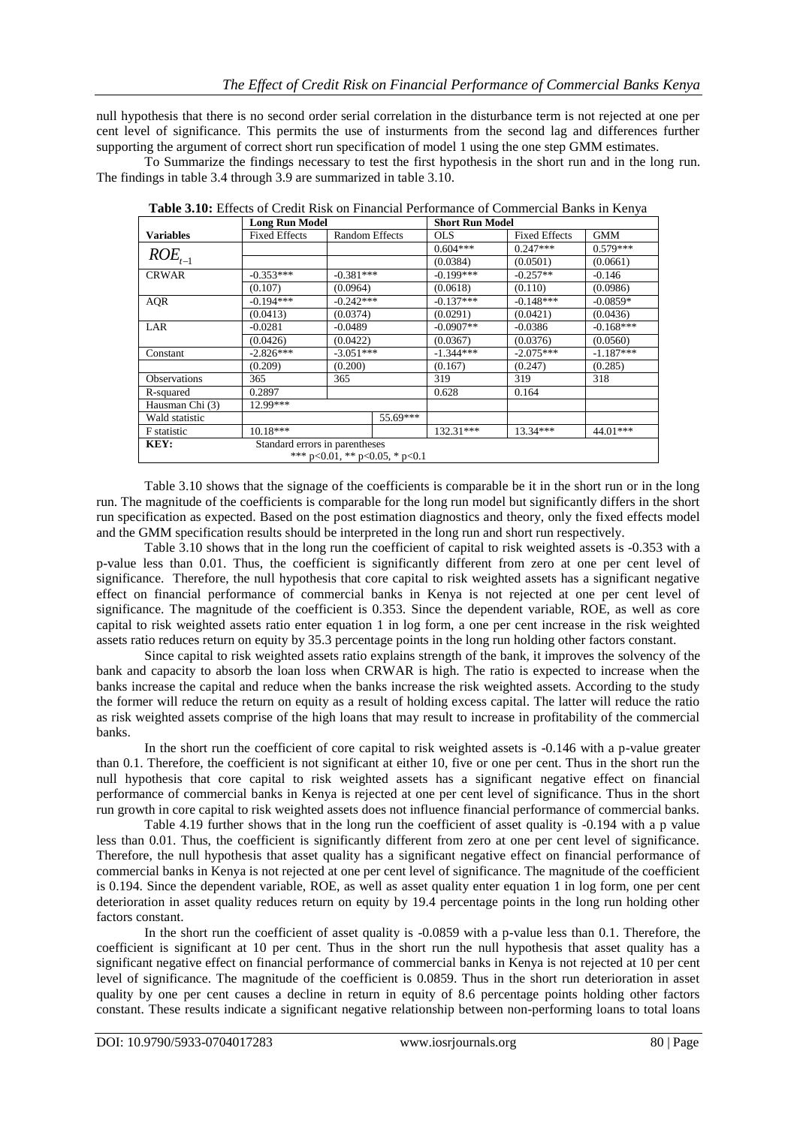null hypothesis that there is no second order serial correlation in the disturbance term is not rejected at one per cent level of significance. This permits the use of insturments from the second lag and differences further supporting the argument of correct short run specification of model 1 using the one step GMM estimates.

To Summarize the findings necessary to test the first hypothesis in the short run and in the long run. The findings in table 3.4 through 3.9 are summarized in table 3.10.

|                     | <b>Long Run Model</b>          |                       |                                        | <b>Short Run Model</b> |                      |             |  |
|---------------------|--------------------------------|-----------------------|----------------------------------------|------------------------|----------------------|-------------|--|
| <b>Variables</b>    | <b>Fixed Effects</b>           | <b>Random Effects</b> |                                        | <b>OLS</b>             | <b>Fixed Effects</b> | <b>GMM</b>  |  |
|                     |                                |                       |                                        | $0.604***$             | $0.247***$           | $0.579***$  |  |
| $ROE_{t-1}$         |                                |                       |                                        | (0.0384)               | (0.0501)             | (0.0661)    |  |
| <b>CRWAR</b>        | $-0.353***$                    | $-0.381***$           |                                        | $-0.199***$            | $-0.257**$           | $-0.146$    |  |
|                     | (0.107)                        | (0.0964)              |                                        | (0.0618)               | (0.110)              | (0.0986)    |  |
| <b>AQR</b>          | $-0.194***$                    | $-0.242***$           |                                        | $-0.137***$            | $-0.148***$          | $-0.0859*$  |  |
|                     | (0.0413)                       | (0.0374)              |                                        | (0.0291)               | (0.0421)             | (0.0436)    |  |
| LAR                 | $-0.0281$                      | -0.0489               |                                        | $-0.0907**$            | $-0.0386$            | $-0.168***$ |  |
|                     | (0.0426)                       | (0.0422)              |                                        | (0.0367)               | (0.0376)             | (0.0560)    |  |
| Constant            | $-3.051***$<br>$-2.826***$     |                       |                                        | $-1.344***$            | $-2.075***$          | $-1.187***$ |  |
|                     | (0.209)                        | (0.200)               |                                        | (0.167)                | (0.247)              | (0.285)     |  |
| <b>Observations</b> | 365                            | 365                   |                                        | 319                    | 319                  | 318         |  |
| R-squared           | 0.2897                         |                       |                                        | 0.628                  | 0.164                |             |  |
| Hausman Chi (3)     | 12.99***                       |                       |                                        |                        |                      |             |  |
| Wald statistic      |                                |                       | 55.69***                               |                        |                      |             |  |
| <b>F</b> statistic  | $10.18***$                     |                       |                                        | 132.31***              | $13.34***$           | 44.01***    |  |
| KEY:                | Standard errors in parentheses |                       |                                        |                        |                      |             |  |
|                     |                                |                       | *** $p<0.01$ , ** $p<0.05$ , * $p<0.1$ |                        |                      |             |  |

**Table 3.10:** Effects of Credit Risk on Financial Performance of Commercial Banks in Kenya

Table 3.10 shows that the signage of the coefficients is comparable be it in the short run or in the long run. The magnitude of the coefficients is comparable for the long run model but significantly differs in the short run specification as expected. Based on the post estimation diagnostics and theory, only the fixed effects model and the GMM specification results should be interpreted in the long run and short run respectively.

Table 3.10 shows that in the long run the coefficient of capital to risk weighted assets is -0.353 with a p-value less than 0.01. Thus, the coefficient is significantly different from zero at one per cent level of significance. Therefore, the null hypothesis that core capital to risk weighted assets has a significant negative effect on financial performance of commercial banks in Kenya is not rejected at one per cent level of significance. The magnitude of the coefficient is 0.353. Since the dependent variable, ROE, as well as core capital to risk weighted assets ratio enter equation 1 in log form, a one per cent increase in the risk weighted assets ratio reduces return on equity by 35.3 percentage points in the long run holding other factors constant.

Since capital to risk weighted assets ratio explains strength of the bank, it improves the solvency of the bank and capacity to absorb the loan loss when CRWAR is high. The ratio is expected to increase when the banks increase the capital and reduce when the banks increase the risk weighted assets. According to the study the former will reduce the return on equity as a result of holding excess capital. The latter will reduce the ratio as risk weighted assets comprise of the high loans that may result to increase in profitability of the commercial banks.

In the short run the coefficient of core capital to risk weighted assets is -0.146 with a p-value greater than 0.1. Therefore, the coefficient is not significant at either 10, five or one per cent. Thus in the short run the null hypothesis that core capital to risk weighted assets has a significant negative effect on financial performance of commercial banks in Kenya is rejected at one per cent level of significance. Thus in the short run growth in core capital to risk weighted assets does not influence financial performance of commercial banks.

Table 4.19 further shows that in the long run the coefficient of asset quality is -0.194 with a p value less than 0.01. Thus, the coefficient is significantly different from zero at one per cent level of significance. Therefore, the null hypothesis that asset quality has a significant negative effect on financial performance of commercial banks in Kenya is not rejected at one per cent level of significance. The magnitude of the coefficient is 0.194. Since the dependent variable, ROE, as well as asset quality enter equation 1 in log form, one per cent deterioration in asset quality reduces return on equity by 19.4 percentage points in the long run holding other factors constant.

In the short run the coefficient of asset quality is -0.0859 with a p-value less than 0.1. Therefore, the coefficient is significant at 10 per cent. Thus in the short run the null hypothesis that asset quality has a significant negative effect on financial performance of commercial banks in Kenya is not rejected at 10 per cent level of significance. The magnitude of the coefficient is 0.0859. Thus in the short run deterioration in asset quality by one per cent causes a decline in return in equity of 8.6 percentage points holding other factors constant. These results indicate a significant negative relationship between non-performing loans to total loans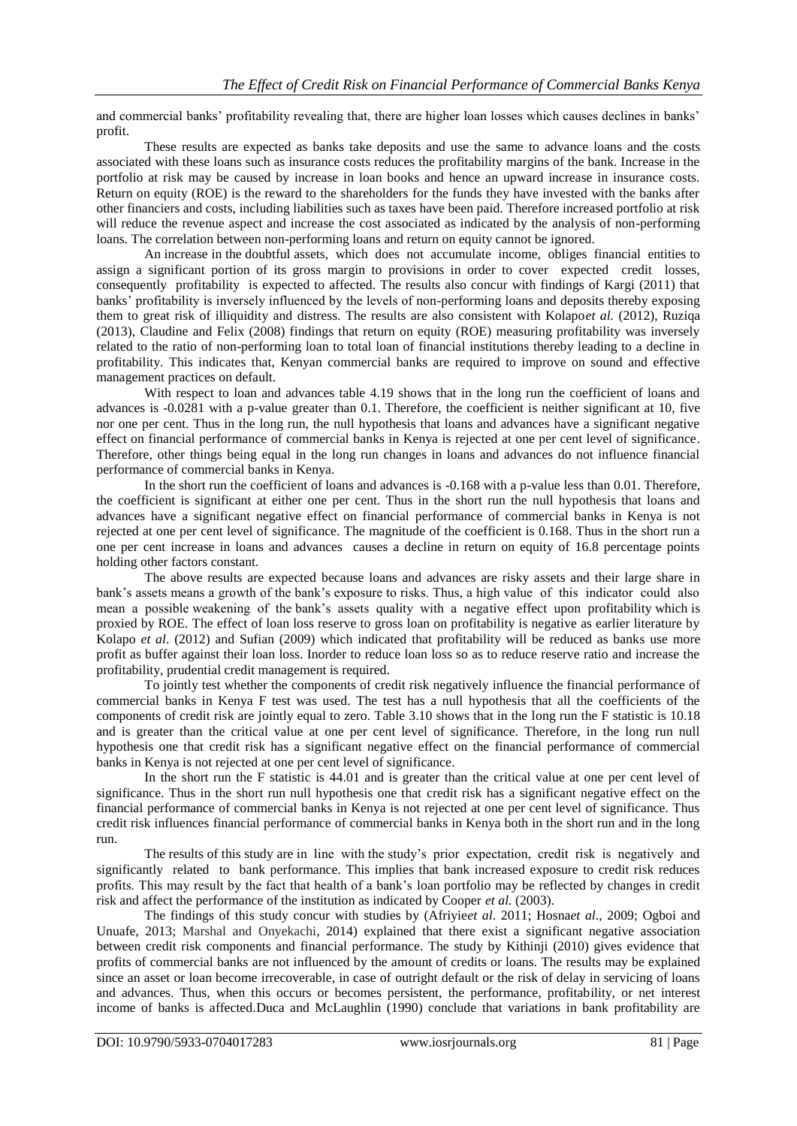and commercial banks' profitability revealing that, there are higher loan losses which causes declines in banks' profit.

These results are expected as banks take deposits and use the same to advance loans and the costs associated with these loans such as insurance costs reduces the profitability margins of the bank. Increase in the portfolio at risk may be caused by increase in loan books and hence an upward increase in insurance costs. Return on equity (ROE) is the reward to the shareholders for the funds they have invested with the banks after other financiers and costs, including liabilities such as taxes have been paid. Therefore increased portfolio at risk will reduce the revenue aspect and increase the cost associated as indicated by the analysis of non-performing loans. The correlation between non-performing loans and return on equity cannot be ignored.

An increase in the doubtful assets, which does not accumulate income, obliges financial entities to assign a significant portion of its gross margin to provisions in order to cover expected credit losses, consequently profitability is expected to affected. The results also concur with findings of Kargi (2011) that banks' profitability is inversely influenced by the levels of non-performing loans and deposits thereby exposing them to great risk of illiquidity and distress. The results are also consistent with Kolapo*et al.* (2012), Ruziqa (2013), Claudine and Felix (2008) findings that return on equity (ROE) measuring profitability was inversely related to the ratio of non-performing loan to total loan of financial institutions thereby leading to a decline in profitability. This indicates that, Kenyan commercial banks are required to improve on sound and effective management practices on default.

With respect to loan and advances table 4.19 shows that in the long run the coefficient of loans and advances is -0.0281 with a p-value greater than 0.1. Therefore, the coefficient is neither significant at 10, five nor one per cent. Thus in the long run, the null hypothesis that loans and advances have a significant negative effect on financial performance of commercial banks in Kenya is rejected at one per cent level of significance. Therefore, other things being equal in the long run changes in loans and advances do not influence financial performance of commercial banks in Kenya.

In the short run the coefficient of loans and advances is -0.168 with a p-value less than 0.01. Therefore, the coefficient is significant at either one per cent. Thus in the short run the null hypothesis that loans and advances have a significant negative effect on financial performance of commercial banks in Kenya is not rejected at one per cent level of significance. The magnitude of the coefficient is 0.168. Thus in the short run a one per cent increase in loans and advances causes a decline in return on equity of 16.8 percentage points holding other factors constant.

The above results are expected because loans and advances are risky assets and their large share in bank's assets means a growth of the bank's exposure to risks. Thus, a high value of this indicator could also mean a possible weakening of the bank's assets quality with a negative effect upon profitability which is proxied by ROE. The effect of loan loss reserve to gross loan on profitability is negative as earlier literature by Kolapo *et al*. (2012) and Sufian (2009) which indicated that profitability will be reduced as banks use more profit as buffer against their loan loss. Inorder to reduce loan loss so as to reduce reserve ratio and increase the profitability, prudential credit management is required.

To jointly test whether the components of credit risk negatively influence the financial performance of commercial banks in Kenya F test was used. The test has a null hypothesis that all the coefficients of the components of credit risk are jointly equal to zero. Table 3.10 shows that in the long run the F statistic is 10.18 and is greater than the critical value at one per cent level of significance. Therefore, in the long run null hypothesis one that credit risk has a significant negative effect on the financial performance of commercial banks in Kenya is not rejected at one per cent level of significance.

In the short run the F statistic is 44.01 and is greater than the critical value at one per cent level of significance. Thus in the short run null hypothesis one that credit risk has a significant negative effect on the financial performance of commercial banks in Kenya is not rejected at one per cent level of significance. Thus credit risk influences financial performance of commercial banks in Kenya both in the short run and in the long run.

The results of this study are in line with the study's prior expectation, credit risk is negatively and significantly related to bank performance. This implies that bank increased exposure to credit risk reduces profits. This may result by the fact that health of a bank's loan portfolio may be reflected by changes in credit risk and affect the performance of the institution as indicated by Cooper *et al.* (2003).

The findings of this study concur with studies by (Afriyie*et al*. 2011; Hosna*et al*., 2009; Ogboi and Unuafe, 2013; Marshal and Onyekachi, 2014) explained that there exist a significant negative association between credit risk components and financial performance. The study by Kithinji (2010) gives evidence that profits of commercial banks are not influenced by the amount of credits or loans. The results may be explained since an asset or loan become irrecoverable, in case of outright default or the risk of delay in servicing of loans and advances. Thus, when this occurs or becomes persistent, the performance, profitability, or net interest income of banks is affected.Duca and McLaughlin (1990) conclude that variations in bank profitability are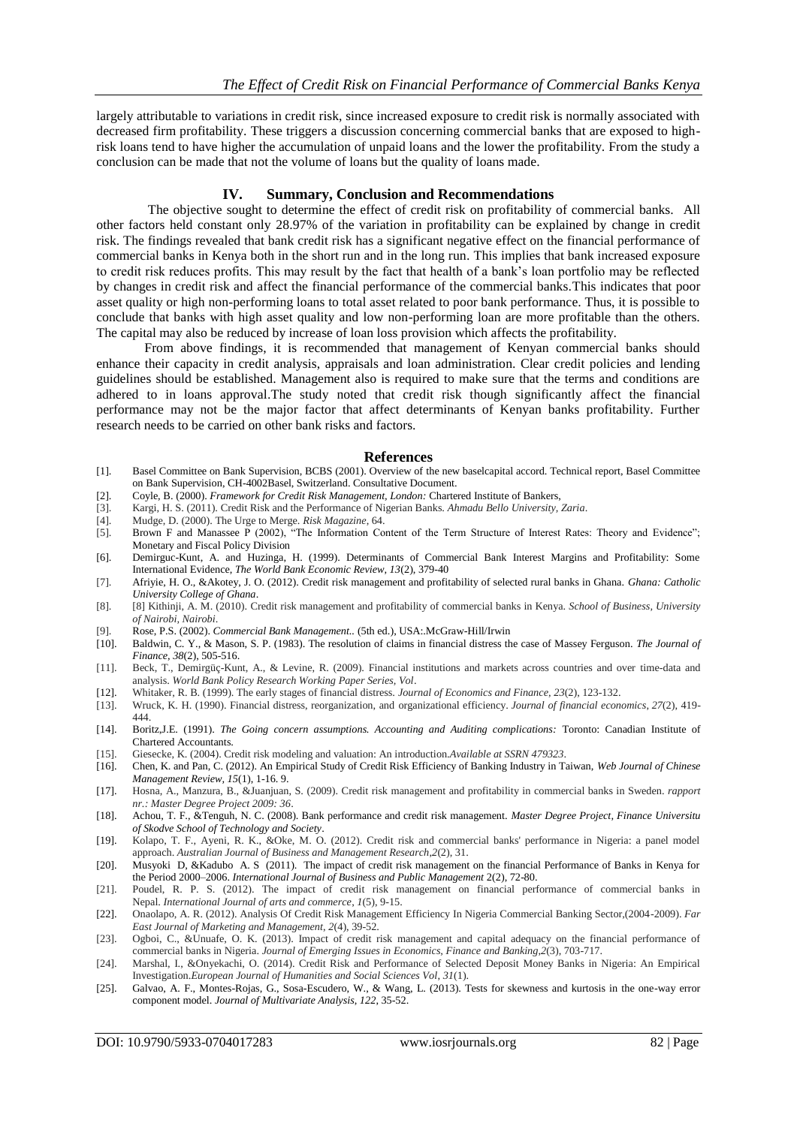largely attributable to variations in credit risk, since increased exposure to credit risk is normally associated with decreased firm profitability. These triggers a discussion concerning commercial banks that are exposed to highrisk loans tend to have higher the accumulation of unpaid loans and the lower the profitability. From the study a conclusion can be made that not the volume of loans but the quality of loans made.

#### **IV. Summary, Conclusion and Recommendations**

The objective sought to determine the effect of credit risk on profitability of commercial banks. All other factors held constant only 28.97% of the variation in profitability can be explained by change in credit risk. The findings revealed that bank credit risk has a significant negative effect on the financial performance of commercial banks in Kenya both in the short run and in the long run. This implies that bank increased exposure to credit risk reduces profits. This may result by the fact that health of a bank's loan portfolio may be reflected by changes in credit risk and affect the financial performance of the commercial banks.This indicates that poor asset quality or high non-performing loans to total asset related to poor bank performance. Thus, it is possible to conclude that banks with high asset quality and low non-performing loan are more profitable than the others. The capital may also be reduced by increase of loan loss provision which affects the profitability.

From above findings, it is recommended that management of Kenyan commercial banks should enhance their capacity in credit analysis, appraisals and loan administration. Clear credit policies and lending guidelines should be established. Management also is required to make sure that the terms and conditions are adhered to in loans approval.The study noted that credit risk though significantly affect the financial performance may not be the major factor that affect determinants of Kenyan banks profitability. Further research needs to be carried on other bank risks and factors.

#### **References**

- [1]. Basel Committee on Bank Supervision, BCBS (2001). Overview of the new baselcapital accord. Technical report, Basel Committee on Bank Supervision, CH-4002Basel, Switzerland. Consultative Document.
- [2]. Coyle, B. (2000). *Framework for Credit Risk Management, London:* Chartered Institute of Bankers,
- [3]. Kargi, H. S. (2011). Credit Risk and the Performance of Nigerian Banks. *Ahmadu Bello University, Zaria*.
- [4]. Mudge, D. (2000). The Urge to Merge. *Risk Magazine*, 64.
- [5]. Brown F and Manassee P (2002), "The Information Content of the Term Structure of Interest Rates: Theory and Evidence"; Monetary and Fiscal Policy Division
- [6]. Demirguc-Kunt, A. and Huzinga, H. (1999). Determinants of Commercial Bank Interest Margins and Profitability: Some International Evidence, *The World Bank Economic Review, 13*(2), 379-40
- [7]. Afriyie, H. O., &Akotey, J. O. (2012). Credit risk management and profitability of selected rural banks in Ghana. *Ghana: Catholic University College of Ghana*.
- [8]. [8] Kithinji, A. M. (2010). Credit risk management and profitability of commercial banks in Kenya. *School of Business, University of Nairobi, Nairobi*.
- [9]. Rose, P.S. (2002). *Commercial Bank Management..* (5th ed.), USA:.McGraw-Hill/Irwin
- [10]. Baldwin, C. Y., & Mason, S. P. (1983). The resolution of claims in financial distress the case of Massey Ferguson. *The Journal of Finance*, *38*(2), 505-516.
- [11]. Beck, T., Demirgüç-Kunt, A., & Levine, R. (2009). Financial institutions and markets across countries and over time-data and analysis. *World Bank Policy Research Working Paper Series, Vol*.
- [12]. Whitaker, R. B. (1999). The early stages of financial distress. *Journal of Economics and Finance*, *23*(2), 123-132.
- [13]. Wruck, K. H. (1990). Financial distress, reorganization, and organizational efficiency. *Journal of financial economics*, *27*(2), 419- 444.
- [14]. Boritz,J.E. (1991). *The Going concern assumptions. Accounting and Auditing complications:* Toronto: Canadian Institute of Chartered Accountants.
- [15]. Giesecke, K. (2004). Credit risk modeling and valuation: An introduction.*Available at SSRN 479323*.
- [16]. Chen, K. and Pan, C. (2012). An Empirical Study of Credit Risk Efficiency of Banking Industry in Taiwan, *Web Journal of Chinese Management Review, 15*(1), 1-16. 9.
- [17]. Hosna, A., Manzura, B., &Juanjuan, S. (2009). Credit risk management and profitability in commercial banks in Sweden. *rapport nr.: Master Degree Project 2009: 36*.
- [18]. Achou, T. F., &Tenguh, N. C. (2008). Bank performance and credit risk management. *Master Degree Project, Finance Universitu of Skodve School of Technology and Society*.
- [19]. Kolapo, T. F., Ayeni, R. K., &Oke, M. O. (2012). Credit risk and commercial banks' performance in Nigeria: a panel model approach. *Australian Journal of Business and Management Research*,*2*(2), 31.
- [20]. Musyoki D, &Kadubo A. S (2011). The impact of credit risk management on the financial Performance of Banks in Kenya for the Period 2000–2006. *International Journal of Business and Public Management* 2(2), 72-80.
- [21]. Poudel, R. P. S. (2012). The impact of credit risk management on financial performance of commercial banks in Nepal. *International Journal of arts and commerce*, *1*(5), 9-15.
- [22]. Onaolapo, A. R. (2012). Analysis Of Credit Risk Management Efficiency In Nigeria Commercial Banking Sector,(2004-2009). *Far East Journal of Marketing and Management*, *2*(4), 39-52.
- [23]. Ogboi, C., &Unuafe, O. K. (2013). Impact of credit risk management and capital adequacy on the financial performance of commercial banks in Nigeria. *Journal of Emerging Issues in Economics, Finance and Banking*,*2*(3), 703-717.
- [24]. Marshal, I., &Onyekachi, O. (2014). Credit Risk and Performance of Selected Deposit Money Banks in Nigeria: An Empirical Investigation.*European Journal of Humanities and Social Sciences Vol*, *31*(1).
- [25]. Galvao, A. F., Montes-Rojas, G., Sosa-Escudero, W., & Wang, L. (2013). Tests for skewness and kurtosis in the one-way error component model. *Journal of Multivariate Analysis*, *122*, 35-52.